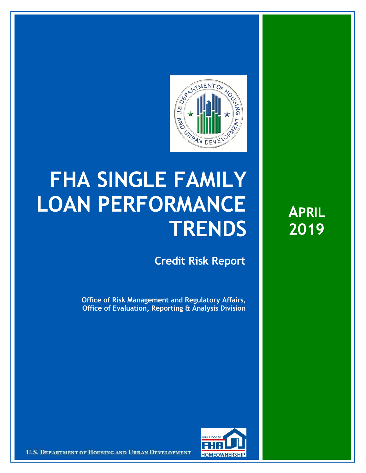

## **FHA SINGLE FAMILY LOAN PERFORMANCE TRENDS**

**Credit Risk Report**

**Office of Risk Management and Regulatory Affairs, Office of Evaluation, Reporting & Analysis Division** **APRIL 2019**



U.S. DEPARTMENT OF HOUSING AND URBAN DEVELOPMENT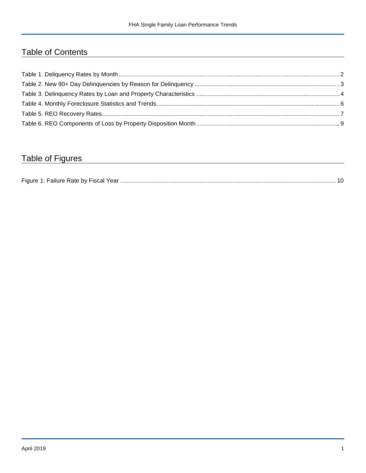## Table of Contents

## Table of Figures

| Figure 1 |  |
|----------|--|
|----------|--|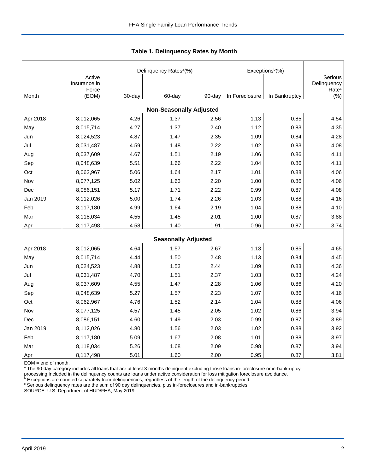|          |                                 |        | Delinquency Rates <sup>a</sup> (%) |        | Exceptions <sup>b</sup> (%) |               |                                             |
|----------|---------------------------------|--------|------------------------------------|--------|-----------------------------|---------------|---------------------------------------------|
|          | Active<br>Insurance in<br>Force |        |                                    |        |                             |               | Serious<br>Delinquency<br>Rate <sup>c</sup> |
| Month    | (EOM)                           | 30-day | 60-day                             | 90-day | In Foreclosure              | In Bankruptcy | $(\% )$                                     |
|          |                                 |        | <b>Non-Seasonally Adjusted</b>     |        |                             |               |                                             |
| Apr 2018 | 8,012,065                       | 4.26   | 1.37                               | 2.56   | 1.13                        | 0.85          | 4.54                                        |
| May      | 8,015,714                       | 4.27   | 1.37                               | 2.40   | 1.12                        | 0.83          | 4.35                                        |
| Jun      | 8,024,523                       | 4.87   | 1.47                               | 2.35   | 1.09                        | 0.84          | 4.28                                        |
| Jul      | 8,031,487                       | 4.59   | 1.48                               | 2.22   | 1.02                        | 0.83          | 4.08                                        |
| Aug      | 8,037,609                       | 4.67   | 1.51                               | 2.19   | 1.06                        | 0.86          | 4.11                                        |
| Sep      | 8,048,639                       | 5.51   | 1.66                               | 2.22   | 1.04                        | 0.86          | 4.11                                        |
| Oct      | 8,062,967                       | 5.06   | 1.64                               | 2.17   | 1.01                        | 0.88          | 4.06                                        |
| Nov      | 8,077,125                       | 5.02   | 1.63                               | 2.20   | 1.00                        | 0.86          | 4.06                                        |
| Dec      | 8,086,151                       | 5.17   | 1.71                               | 2.22   | 0.99                        | 0.87          | 4.08                                        |
| Jan 2019 | 8,112,026                       | 5.00   | 1.74                               | 2.26   | 1.03                        | 0.88          | 4.16                                        |
| Feb      | 8,117,180                       | 4.99   | 1.64                               | 2.19   | 1.04                        | 0.88          | 4.10                                        |
| Mar      | 8,118,034                       | 4.55   | 1.45                               | 2.01   | 1.00                        | 0.87          | 3.88                                        |
| Apr      | 8,117,498                       | 4.58   | 1.40                               | 1.91   | 0.96                        | 0.87          | 3.74                                        |
|          |                                 |        | <b>Seasonally Adjusted</b>         |        |                             |               |                                             |
| Apr 2018 | 8,012,065                       | 4.64   | 1.57                               | 2.67   | 1.13                        | 0.85          | 4.65                                        |
| May      | 8,015,714                       | 4.44   | 1.50                               | 2.48   | 1.13                        | 0.84          | 4.45                                        |
| Jun      | 8,024,523                       | 4.88   | 1.53                               | 2.44   | 1.09                        | 0.83          | 4.36                                        |
| Jul      | 8,031,487                       | 4.70   | 1.51                               | 2.37   | 1.03                        | 0.83          | 4.24                                        |
| Aug      | 8,037,609                       | 4.55   | 1.47                               | 2.28   | 1.06                        | 0.86          | 4.20                                        |
| Sep      | 8,048,639                       | 5.27   | 1.57                               | 2.23   | 1.07                        | 0.86          | 4.16                                        |
| Oct      | 8,062,967                       | 4.76   | 1.52                               | 2.14   | 1.04                        | 0.88          | 4.06                                        |
| Nov      | 8,077,125                       | 4.57   | 1.45                               | 2.05   | 1.02                        | 0.86          | 3.94                                        |
| Dec      | 8,086,151                       | 4.60   | 1.49                               | 2.03   | 0.99                        | 0.87          | 3.89                                        |
| Jan 2019 | 8,112,026                       | 4.80   | 1.56                               | 2.03   | 1.02                        | 0.88          | 3.92                                        |
| Feb      | 8,117,180                       | 5.09   | 1.67                               | 2.08   | 1.01                        | 0.88          | 3.97                                        |
| Mar      | 8,118,034                       | 5.26   | 1.68                               | 2.09   | 0.98                        | 0.87          | 3.94                                        |
| Apr      | 8,117,498                       | 5.01   | 1.60                               | 2.00   | 0.95                        | 0.87          | 3.81                                        |

 **Table 1. Delinquency Rates by Month**

EOM = end of month.

<sup>a</sup> The 90-day category includes all loans that are at least 3 months delinquent excluding those loans in-foreclosure or in-bankruptcy

processing.Included in the delinquency counts are loans under active consideration for loss mitigation foreclosure avoidance.<br><sup>b</sup> Exceptions are counted separately from delinquencies, regardless of the length of the delinq

<sup>c</sup> Serious delinquency rates are the sum of 90 day delinquencies, plus in-foreclosures and in-bankruptcies.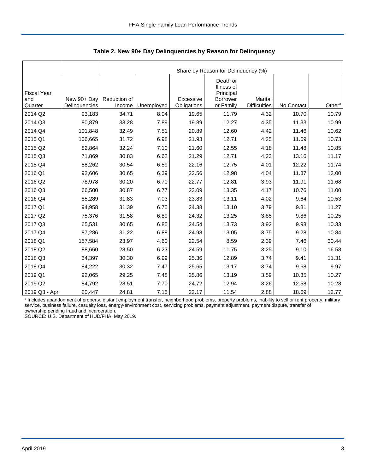|                                      |                              |                        | Share by Reason for Delinquency (%) |                          |                                                                     |                                       |            |                    |  |  |  |  |
|--------------------------------------|------------------------------|------------------------|-------------------------------------|--------------------------|---------------------------------------------------------------------|---------------------------------------|------------|--------------------|--|--|--|--|
| <b>Fiscal Year</b><br>and<br>Quarter | New 90+ Day<br>Delinquencies | Reduction of<br>Income | Unemployed                          | Excessive<br>Obligations | Death or<br>Illness of<br>Principal<br><b>Borrower</b><br>or Family | <b>Marital</b><br><b>Difficulties</b> | No Contact | Other <sup>a</sup> |  |  |  |  |
| 2014 Q2                              |                              | 34.71                  | 8.04                                |                          |                                                                     |                                       | 10.70      |                    |  |  |  |  |
|                                      | 93,183                       |                        |                                     | 19.65                    | 11.79                                                               | 4.32                                  |            | 10.79              |  |  |  |  |
| 2014 Q3                              | 80,879                       | 33.28                  | 7.89                                | 19.89                    | 12.27                                                               | 4.35                                  | 11.33      | 10.99              |  |  |  |  |
| 2014 Q4                              | 101,848                      | 32.49                  | 7.51                                | 20.89                    | 12.60                                                               | 4.42                                  | 11.46      | 10.62              |  |  |  |  |
| 2015 Q1                              | 106,665                      | 31.72                  | 6.98                                | 21.93                    | 12.71                                                               | 4.25                                  | 11.69      | 10.73              |  |  |  |  |
| 2015 Q2                              | 82,864                       | 32.24                  | 7.10                                | 21.60                    | 12.55                                                               | 4.18                                  | 11.48      | 10.85              |  |  |  |  |
| 2015 Q3                              | 71,869                       | 30.83                  | 6.62                                | 21.29                    | 12.71                                                               | 4.23                                  | 13.16      | 11.17              |  |  |  |  |
| 2015 Q4                              | 88,262                       | 30.54                  | 6.59                                | 22.16                    | 12.75                                                               | 4.01                                  | 12.22      | 11.74              |  |  |  |  |
| 2016 Q1                              | 92,606                       | 30.65                  | 6.39                                | 22.56                    | 12.98                                                               | 4.04                                  | 11.37      | 12.00              |  |  |  |  |
| 2016 Q2                              | 78,978                       | 30.20                  | 6.70                                | 22.77                    | 12.81                                                               | 3.93                                  | 11.91      | 11.68              |  |  |  |  |
| 2016 Q3                              | 66,500                       | 30.87                  | 6.77                                | 23.09                    | 13.35                                                               | 4.17                                  | 10.76      | 11.00              |  |  |  |  |
| 2016 Q4                              | 85,289                       | 31.83                  | 7.03                                | 23.83                    | 13.11                                                               | 4.02                                  | 9.64       | 10.53              |  |  |  |  |
| 2017 Q1                              | 94,958                       | 31.39                  | 6.75                                | 24.38                    | 13.10                                                               | 3.79                                  | 9.31       | 11.27              |  |  |  |  |
| 2017 Q2                              | 75,376                       | 31.58                  | 6.89                                | 24.32                    | 13.25                                                               | 3.85                                  | 9.86       | 10.25              |  |  |  |  |
| 2017 Q3                              | 65,531                       | 30.65                  | 6.85                                | 24.54                    | 13.73                                                               | 3.92                                  | 9.98       | 10.33              |  |  |  |  |
| 2017 Q4                              | 87,286                       | 31.22                  | 6.88                                | 24.98                    | 13.05                                                               | 3.75                                  | 9.28       | 10.84              |  |  |  |  |
| 2018 Q1                              | 157,584                      | 23.97                  | 4.60                                | 22.54                    | 8.59                                                                | 2.39                                  | 7.46       | 30.44              |  |  |  |  |
| 2018 Q2                              | 88,660                       | 28.50                  | 6.23                                | 24.59                    | 11.75                                                               | 3.25                                  | 9.10       | 16.58              |  |  |  |  |
| 2018 Q3                              | 64,397                       | 30.30                  | 6.99                                | 25.36                    | 12.89                                                               | 3.74                                  | 9.41       | 11.31              |  |  |  |  |
| 2018 Q4                              | 84,222                       | 30.32                  | 7.47                                | 25.65                    | 13.17                                                               | 3.74                                  | 9.68       | 9.97               |  |  |  |  |
| 2019 Q1                              | 92,065                       | 29.25                  | 7.48                                | 25.86                    | 13.19                                                               | 3.59                                  | 10.35      | 10.27              |  |  |  |  |
| 2019 Q2                              | 84,792                       | 28.51                  | 7.70                                | 24.72                    | 12.94                                                               | 3.26                                  | 12.58      | 10.28              |  |  |  |  |
| 2019 Q3 - Apr                        | 20,447                       | 24.81                  | 7.15                                | 22.17                    | 11.54                                                               | 2.88                                  | 18.69      | 12.77              |  |  |  |  |

 **Table 2. New 90+ Day Delinquencies by Reason for Delinquency**

a Includes abandonment of property, distant employment transfer, neighborhood problems, property problems, inability to sell or rent property, military service, business failure, casualty loss, energy-environment cost, servicing problems, payment adjustment, payment dispute, transfer of ownership pending fraud and incarceration.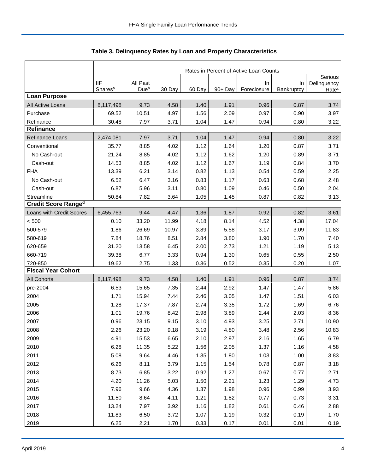|                            |                     | Rates in Percent of Active Loan Counts |        |        |         |             |            |                        |  |
|----------------------------|---------------------|----------------------------------------|--------|--------|---------|-------------|------------|------------------------|--|
|                            | <b>IIF</b>          | All Past                               |        |        |         | In          | In         | Serious<br>Delinquency |  |
|                            | Shares <sup>a</sup> | Due <sup>b</sup>                       | 30 Day | 60 Day | 90+ Day | Foreclosure | Bankruptcy | Ratec                  |  |
| <b>Loan Purpose</b>        |                     |                                        |        |        |         |             |            |                        |  |
| All Active Loans           | 8,117,498           | 9.73                                   | 4.58   | 1.40   | 1.91    | 0.96        | 0.87       | 3.74                   |  |
| Purchase                   | 69.52               | 10.51                                  | 4.97   | 1.56   | 2.09    | 0.97        | 0.90       | 3.97                   |  |
| Refinance                  | 30.48               | 7.97                                   | 3.71   | 1.04   | 1.47    | 0.94        | 0.80       | 3.22                   |  |
| <b>Refinance</b>           |                     |                                        |        |        |         |             |            |                        |  |
| Refinance Loans            | 2,474,081           | 7.97                                   | 3.71   | 1.04   | 1.47    | 0.94        | 0.80       | 3.22                   |  |
| Conventional               | 35.77               | 8.85                                   | 4.02   | 1.12   | 1.64    | 1.20        | 0.87       | 3.71                   |  |
| No Cash-out                | 21.24               | 8.85                                   | 4.02   | 1.12   | 1.62    | 1.20        | 0.89       | 3.71                   |  |
| Cash-out                   | 14.53               | 8.85                                   | 4.02   | 1.12   | 1.67    | 1.19        | 0.84       | 3.70                   |  |
| <b>FHA</b>                 | 13.39               | 6.21                                   | 3.14   | 0.82   | 1.13    | 0.54        | 0.59       | 2.25                   |  |
| No Cash-out                | 6.52                | 6.47                                   | 3.16   | 0.83   | 1.17    | 0.63        | 0.68       | 2.48                   |  |
| Cash-out                   | 6.87                | 5.96                                   | 3.11   | 0.80   | 1.09    | 0.46        | 0.50       | 2.04                   |  |
| Streamline                 | 50.84               | 7.82                                   | 3.64   | 1.05   | 1.45    | 0.87        | 0.82       | 3.13                   |  |
| <b>Credit Score Ranged</b> |                     |                                        |        |        |         |             |            |                        |  |
| Loans with Credit Scores   | 6,455,763           | 9.44                                   | 4.47   | 1.36   | 1.87    | 0.92        | 0.82       | 3.61                   |  |
| < 500                      | 0.10                | 33.20                                  | 11.99  | 4.18   | 8.14    | 4.52        | 4.38       | 17.04                  |  |
| 500-579                    | 1.86                | 26.69                                  | 10.97  | 3.89   | 5.58    | 3.17        | 3.09       | 11.83                  |  |
| 580-619                    | 7.84                | 18.76                                  | 8.51   | 2.84   | 3.80    | 1.90        | 1.70       | 7.40                   |  |
| 620-659                    | 31.20               | 13.58                                  | 6.45   | 2.00   | 2.73    | 1.21        | 1.19       | 5.13                   |  |
| 660-719                    | 39.38               | 6.77                                   | 3.33   | 0.94   | 1.30    | 0.65        | 0.55       | 2.50                   |  |
| 720-850                    | 19.62               | 2.75                                   | 1.33   | 0.36   | 0.52    | 0.35        | 0.20       | 1.07                   |  |
| <b>Fiscal Year Cohort</b>  |                     |                                        |        |        |         |             |            |                        |  |
| <b>All Cohorts</b>         | 8,117,498           | 9.73                                   | 4.58   | 1.40   | 1.91    | 0.96        | 0.87       | 3.74                   |  |
| pre-2004                   | 6.53                | 15.65                                  | 7.35   | 2.44   | 2.92    | 1.47        | 1.47       | 5.86                   |  |
| 2004                       | 1.71                | 15.94                                  | 7.44   | 2.46   | 3.05    | 1.47        | 1.51       | 6.03                   |  |
| 2005                       | 1.28                | 17.37                                  | 7.87   | 2.74   | 3.35    | 1.72        | 1.69       | 6.76                   |  |
| 2006                       | 1.01                | 19.76                                  | 8.42   | 2.98   | 3.89    | 2.44        | 2.03       | 8.36                   |  |
| 2007                       | 0.96                | 23.15                                  | 9.15   | 3.10   | 4.93    | 3.25        | 2.71       | 10.90                  |  |
| 2008                       | 2.26                | 23.20                                  | 9.18   | 3.19   | 4.80    | 3.48        | 2.56       | 10.83                  |  |
| 2009                       | 4.91                | 15.53                                  | 6.65   | 2.10   | 2.97    | 2.16        | 1.65       | 6.79                   |  |
| 2010                       | 6.28                | 11.35                                  | 5.22   | 1.56   | 2.05    | 1.37        | 1.16       | 4.58                   |  |
| 2011                       | 5.08                | 9.64                                   | 4.46   | 1.35   | 1.80    | 1.03        | 1.00       | 3.83                   |  |
| 2012                       | 6.26                | 8.11                                   | 3.79   | 1.15   | 1.54    | 0.78        | 0.87       | 3.18                   |  |
| 2013                       | 8.73                | 6.85                                   | 3.22   | 0.92   | 1.27    | 0.67        | 0.77       | 2.71                   |  |
| 2014                       | 4.20                | 11.26                                  | 5.03   | 1.50   | 2.21    | 1.23        | 1.29       | 4.73                   |  |
| 2015                       | 7.96                | 9.66                                   | 4.36   | 1.37   | 1.98    | 0.96        | 0.99       | 3.93                   |  |
| 2016                       | 11.50               | 8.64                                   | 4.11   | 1.21   | 1.82    | 0.77        | 0.73       | 3.31                   |  |
| 2017                       | 13.24               | 7.97                                   | 3.92   | 1.16   | 1.82    | 0.61        | 0.46       | 2.88                   |  |
| 2018                       | 11.83               | 6.50                                   | 3.72   | 1.07   | 1.19    | 0.32        | 0.19       | 1.70                   |  |
| 2019                       | 6.25                | 2.21                                   | 1.70   | 0.33   | 0.17    | 0.01        | 0.01       | 0.19                   |  |

Table 3. Delinquency Rates by Loan and Property Characteristics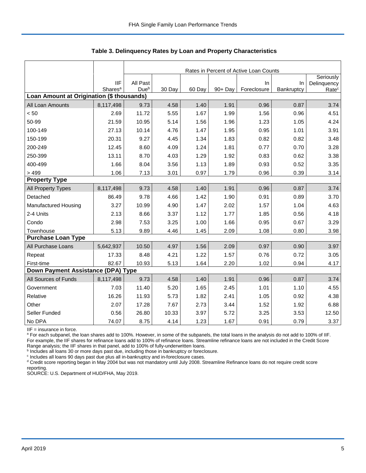|                                           |                                   |                              | Rates in Percent of Active Loan Counts |        |         |                   |                  |                                               |  |  |  |  |
|-------------------------------------------|-----------------------------------|------------------------------|----------------------------------------|--------|---------|-------------------|------------------|-----------------------------------------------|--|--|--|--|
|                                           | <b>IIF</b><br>Shares <sup>a</sup> | All Past<br>Due <sup>b</sup> | 30 Day                                 | 60 Day | 90+ Day | In<br>Foreclosure | In<br>Bankruptcy | Seriously<br>Delinquency<br>Rate <sup>c</sup> |  |  |  |  |
| Loan Amount at Origination (\$ thousands) |                                   |                              |                                        |        |         |                   |                  |                                               |  |  |  |  |
| All Loan Amounts                          | 8,117,498                         | 9.73                         | 4.58                                   | 1.40   | 1.91    | 0.96              | 0.87             | 3.74                                          |  |  |  |  |
| < 50                                      | 2.69                              | 11.72                        | 5.55                                   | 1.67   | 1.99    | 1.56              | 0.96             | 4.51                                          |  |  |  |  |
| 50-99                                     | 21.59                             | 10.95                        | 5.14                                   | 1.56   | 1.96    | 1.23              | 1.05             | 4.24                                          |  |  |  |  |
| 100-149                                   | 27.13                             | 10.14                        | 4.76                                   | 1.47   | 1.95    | 0.95              | 1.01             | 3.91                                          |  |  |  |  |
| 150-199                                   | 20.31                             | 9.27                         | 4.45                                   | 1.34   | 1.83    | 0.82              | 0.82             | 3.48                                          |  |  |  |  |
| 200-249                                   | 12.45                             | 8.60                         | 4.09                                   | 1.24   | 1.81    | 0.77              | 0.70             | 3.28                                          |  |  |  |  |
| 250-399                                   | 13.11                             | 8.70                         | 4.03                                   | 1.29   | 1.92    | 0.83              | 0.62             | 3.38                                          |  |  |  |  |
| 400-499                                   | 1.66                              | 8.04                         | 3.56                                   | 1.13   | 1.89    | 0.93              | 0.52             | 3.35                                          |  |  |  |  |
| >499                                      | 1.06                              | 7.13                         | 3.01                                   | 0.97   | 1.79    | 0.96              | 0.39             | 3.14                                          |  |  |  |  |
| <b>Property Type</b>                      |                                   |                              |                                        |        |         |                   |                  |                                               |  |  |  |  |
| All Property Types                        | 8,117,498                         | 9.73                         | 4.58                                   | 1.40   | 1.91    | 0.96              | 0.87             | 3.74                                          |  |  |  |  |
| Detached                                  | 86.49                             | 9.78                         | 4.66                                   | 1.42   | 1.90    | 0.91              | 0.89             | 3.70                                          |  |  |  |  |
| Manufactured Housing                      | 3.27                              | 10.99                        | 4.90                                   | 1.47   | 2.02    | 1.57              | 1.04             | 4.63                                          |  |  |  |  |
| 2-4 Units                                 | 2.13                              | 8.66                         | 3.37                                   | 1.12   | 1.77    | 1.85              | 0.56             | 4.18                                          |  |  |  |  |
| Condo                                     | 2.98                              | 7.53                         | 3.25                                   | 1.00   | 1.66    | 0.95              | 0.67             | 3.29                                          |  |  |  |  |
| Townhouse                                 | 5.13                              | 9.89                         | 4.46                                   | 1.45   | 2.09    | 1.08              | 0.80             | 3.98                                          |  |  |  |  |
| <b>Purchase Loan Type</b>                 |                                   |                              |                                        |        |         |                   |                  |                                               |  |  |  |  |
| All Purchase Loans                        | 5,642,937                         | 10.50                        | 4.97                                   | 1.56   | 2.09    | 0.97              | 0.90             | 3.97                                          |  |  |  |  |
| Repeat                                    | 17.33                             | 8.48                         | 4.21                                   | 1.22   | 1.57    | 0.76              | 0.72             | 3.05                                          |  |  |  |  |
| First-time                                | 82.67                             | 10.93                        | 5.13                                   | 1.64   | 2.20    | 1.02              | 0.94             | 4.17                                          |  |  |  |  |
| Down Payment Assistance (DPA) Type        |                                   |                              |                                        |        |         |                   |                  |                                               |  |  |  |  |
| All Sources of Funds                      | 8,117,498                         | 9.73                         | 4.58                                   | 1.40   | 1.91    | 0.96              | 0.87             | 3.74                                          |  |  |  |  |
| Government                                | 7.03                              | 11.40                        | 5.20                                   | 1.65   | 2.45    | 1.01              | 1.10             | 4.55                                          |  |  |  |  |
| Relative                                  | 16.26                             | 11.93                        | 5.73                                   | 1.82   | 2.41    | 1.05              | 0.92             | 4.38                                          |  |  |  |  |
| Other                                     | 2.07                              | 17.28                        | 7.67                                   | 2.73   | 3.44    | 1.52              | 1.92             | 6.88                                          |  |  |  |  |
| Seller Funded                             | 0.56                              | 26.80                        | 10.33                                  | 3.97   | 5.72    | 3.25              | 3.53             | 12.50                                         |  |  |  |  |
| No DPA                                    | 74.07                             | 8.75                         | 4.14                                   | 1.23   | 1.67    | 0.91              | 0.79             | 3.37                                          |  |  |  |  |

 **Table 3. Delinquency Rates by Loan and Property Characteristics**

IIF = insurance in force.

<sup>a</sup> For each subpanel, the loan shares add to 100%. However, in some of the subpanels, the total loans in the analysis do not add to 100% of IIF. For example, the IIF shares for refinance loans add to 100% of refinance loans. Streamline refinance loans are not included in the Credit Score

Range analysis; the IIF shares in that panel, add to 100% of fully-underwritten loans.<br><sup>b</sup> Includes all loans 30 or more days past due, including those in bankruptcy or foreclosure.

<sup>c</sup> Includes all loans 90 days past due plus all in-bankruptcy and in-foreclosure cases.

<sup>d</sup> Credit score reporting began in May 2004 but was not mandatory until July 2008. Streamline Refinance loans do not require credit score reporting.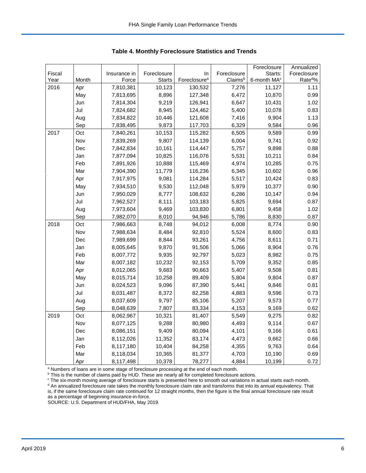|        |       |              |               |                          |             | Foreclosure             | Annualized         |
|--------|-------|--------------|---------------|--------------------------|-------------|-------------------------|--------------------|
| Fiscal |       | Insurance in | Foreclosure   | In                       | Foreclosure | Starts:                 | Foreclosure        |
| Year   | Month | Force        | <b>Starts</b> | Foreclosure <sup>a</sup> | Claimsb     | 6-month MA <sup>c</sup> | Rate <sup>d%</sup> |
| 2016   | Apr   | 7,810,381    | 10,123        | 130,532                  | 7,276       | 11,127                  | 1.11               |
|        | May   | 7,813,695    | 8,896         | 127,348                  | 6,472       | 10,870                  | 0.99               |
|        | Jun   | 7,814,304    | 9,219         | 126,941                  | 6,647       | 10,431                  | 1.02               |
|        | Jul   | 7,824,682    | 8,945         | 124,462                  | 5,400       | 10,078                  | 0.83               |
|        | Aug   | 7,834,822    | 10,446        | 121,608                  | 7,416       | 9,904                   | 1.13               |
|        | Sep   | 7,838,495    | 9,873         | 117,703                  | 6,329       | 9,584                   | 0.96               |
| 2017   | Oct   | 7,840,261    | 10,153        | 115,282                  | 6,505       | 9,589                   | 0.99               |
|        | Nov   | 7,839,269    | 9,807         | 114,139                  | 6,004       | 9,741                   | 0.92               |
|        | Dec   | 7,842,834    | 10,161        | 114,447                  | 5,757       | 9,898                   | 0.88               |
|        | Jan   | 7,877,094    | 10,825        | 116,076                  | 5,531       | 10,211                  | 0.84               |
|        | Feb   | 7,891,926    | 10,888        | 115,469                  | 4,974       | 10,285                  | 0.75               |
|        | Mar   | 7,904,390    | 11,779        | 116,236                  | 6,345       | 10,602                  | 0.96               |
|        | Apr   | 7,917,975    | 9,081         | 114,284                  | 5,517       | 10,424                  | 0.83               |
|        | May   | 7,934,510    | 9,530         | 112,048                  | 5,979       | 10,377                  | 0.90               |
|        | Jun   | 7,950,029    | 8,777         | 108,632                  | 6,286       | 10,147                  | 0.94               |
|        | Jul   | 7,962,527    | 8,111         | 103,183                  | 5,825       | 9,694                   | 0.87               |
|        | Aug   | 7,973,604    | 9,469         | 103,830                  | 6,801       | 9,458                   | 1.02               |
|        | Sep   | 7,982,070    | 8,010         | 94,946                   | 5,786       | 8,830                   | 0.87               |
| 2018   | Oct   | 7,986,663    | 8,748         | 94,012                   | 6,008       | 8,774                   | 0.90               |
|        | Nov   | 7,988,634    | 8,484         | 92,810                   | 5,524       | 8,600                   | 0.83               |
|        | Dec   | 7,989,699    | 8,844         | 93,261                   | 4,756       | 8,611                   | 0.71               |
|        | Jan   | 8,005,645    | 9,870         | 91,506                   | 5,066       | 8,904                   | 0.76               |
|        | Feb   | 8,007,772    | 9,935         | 92,797                   | 5,023       | 8,982                   | 0.75               |
|        | Mar   | 8,007,182    | 10,232        | 92,153                   | 5,709       | 9,352                   | 0.85               |
|        | Apr   | 8,012,065    | 9,683         | 90,663                   | 5,407       | 9,508                   | 0.81               |
|        | May   | 8,015,714    | 10,258        | 89,409                   | 5,804       | 9,804                   | 0.87               |
|        | Jun   | 8,024,523    | 9,096         | 87,390                   | 5,441       | 9,846                   | 0.81               |
|        | Jul   | 8,031,487    | 8,372         | 82,258                   | 4,883       | 9,596                   | 0.73               |
|        | Aug   | 8,037,609    | 9,797         | 85,106                   | 5,207       | 9,573                   | 0.77               |
|        | Sep   | 8,048,639    | 7,807         | 83,334                   | 4,153       | 9,169                   | 0.62               |
| 2019   | Oct   | 8,062,967    | 10,321        | 81,407                   | 5,549       | 9,275                   | 0.82               |
|        | Nov   | 8,077,125    | 9,288         | 80,980                   | 4,493       | 9,114                   | 0.67               |
|        | Dec   | 8,086,151    | 9,409         | 80,094                   | 4,101       | 9,166                   | 0.61               |
|        | Jan   | 8,112,026    | 11,352        | 83,174                   | 4,473       | 9,662                   | 0.66               |
|        | Feb   | 8,117,180    | 10,404        | 84,258                   | 4,355       | 9,763                   | 0.64               |
|        | Mar   | 8,118,034    | 10,365        | 81,377                   | 4,703       | 10,190                  | 0.69               |
|        | Apr   | 8,117,498    | 10,378        | 78,277                   | 4,884       | 10,199                  | 0.72               |

 **Table 4. Monthly Foreclosure Statistics and Trends**

<sup>a</sup> Numbers of loans are in some stage of foreclosure processing at the end of each month.

<sup>b</sup> This is the number of claims paid by HUD. These are nearly all for completed foreclosure actions.

° The six-month moving average of foreclosure starts is presented here to smooth out variations in actual starts each month.<br><sup>d</sup> An annualized foreclosure rate takes the monthly foreclosure claim rate and transforms that i is, if the same foreclosure claim rate continued for 12 straight months, then the figure is the final annual foreclosure rate result as a percentage of beginning insurance-in-force.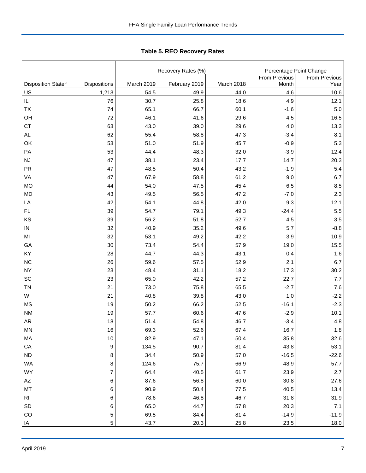|                                |              |            | Recovery Rates (%) | Percentage Point Change |                      |               |  |
|--------------------------------|--------------|------------|--------------------|-------------------------|----------------------|---------------|--|
|                                |              |            |                    |                         | <b>From Previous</b> | From Previous |  |
| Disposition State <sup>b</sup> | Dispositions | March 2019 | February 2019      | March 2018              | Month                | Year          |  |
| <u>US</u>                      | 1,213        | 54.5       | 49.9               | 44.0                    | 4.6                  | 10.6          |  |
| IL.                            | 76           | 30.7       | 25.8               | 18.6                    | 4.9                  | 12.1          |  |
| ТX                             | 74           | 65.1       | 66.7               | 60.1                    | $-1.6$               | 5.0           |  |
| OН                             | 72           | 46.1       | 41.6               | 29.6                    | 4.5                  | 16.5          |  |
| СT                             | 63           | 43.0       | 39.0               | 29.6                    | 4.0                  | 13.3          |  |
| AL                             | 62           | 55.4       | 58.8               | 47.3                    | $-3.4$               | 8.1           |  |
| ОK                             | 53           | 51.0       | 51.9               | 45.7                    | $-0.9$               | 5.3           |  |
| РA                             | 53           | 44.4       | 48.3               | 32.0                    | $-3.9$               | 12.4          |  |
| NJ                             | 47           | 38.1       | 23.4               | 17.7                    | 14.7                 | 20.3          |  |
| PR                             | 47           | 48.5       | 50.4               | 43.2                    | $-1.9$               | 5.4           |  |
| VA                             | 47           | 67.9       | 58.8               | 61.2                    | 9.0                  | 6.7           |  |
| МO                             | 44           | 54.0       | 47.5               | 45.4                    | 6.5                  | 8.5           |  |
| MD                             | 43           | 49.5       | 56.5               | 47.2                    | $-7.0$               | 2.3           |  |
| <u>LA</u>                      | 42           | 54.1       | 44.8               | 42.0                    | 9.3                  | 12.1          |  |
| FL                             | 39           | 54.7       | 79.1               | 49.3                    | $-24.4$              | 5.5           |  |
| ΚS                             | 39           | 56.2       | 51.8               | 52.7                    | 4.5                  | 3.5           |  |
| IN                             | 32           | 40.9       | 35.2               | 49.6                    | 5.7                  | $-8.8$        |  |
| MI                             | 32           | 53.1       | 49.2               | 42.2                    | 3.9                  | 10.9          |  |
| GА                             | 30           | 73.4       | 54.4               | 57.9                    | 19.0                 | 15.5          |  |
| ΚY                             | 28           | 44.7       | 44.3               | 43.1                    | 0.4                  | 1.6           |  |
| ΝC                             | 26           | 59.6       | 57.5               | 52.9                    | 2.1                  | 6.7           |  |
| NΥ                             | 23           | 48.4       | 31.1               | 18.2                    | 17.3                 | 30.2          |  |
| SC                             | 23           | 65.0       | 42.2               | 57.2                    | 22.7                 | 7.7           |  |
| ΤN                             | 21           | 73.0       | 75.8               | 65.5                    | $-2.7$               | 7.6           |  |
| WI                             | 21           | 40.8       | 39.8               | 43.0                    | 1.0                  | $-2.2$        |  |
| ΜS                             | 19           | 50.2       | 66.2               | 52.5                    | $-16.1$              | $-2.3$        |  |
| NΜ                             | 19           | 57.7       | 60.6               | 47.6                    | $-2.9$               | 10.1          |  |
| AR                             | 18           | 51.4       | 54.8               | 46.7                    | $-3.4$               | 4.8           |  |
| MΝ                             | 16           | 69.3       | 52.6               | 67.4                    | 16.7                 | 1.8           |  |
| МA                             | 10           | 82.9       | 47.1               | 50.4                    | 35.8                 | 32.6          |  |
| СA                             | 9            | 134.5      | 90.7               | 81.4                    | 43.8                 | 53.1          |  |
| ND                             | 8            | 34.4       | 50.9               | 57.0                    | $-16.5$              | $-22.6$       |  |
| WA                             | 8            | 124.6      | 75.7               | 66.9                    | 48.9                 | 57.7          |  |
| WY                             | 7            | 64.4       | 40.5               | 61.7                    | 23.9                 | 2.7           |  |
| AΖ                             | 6            | 87.6       | 56.8               | 60.0                    | 30.8                 | 27.6          |  |
| МT                             | $\,6$        | 90.9       | 50.4               | 77.5                    | 40.5                 | 13.4          |  |

RI 6 78.6 46.8 46.7 31.8 31.9 SD 6 | 65.0 | 44.7 | 57.8 | 20.3 | 7.1 CO 5 | 69.5 | 84.4 | 81.4 | -14.9 | -11.9 IA 5 | 43.7 | 20.3 | 25.8 | 23.5 | 18.0

**Table 5. REO Recovery Rates**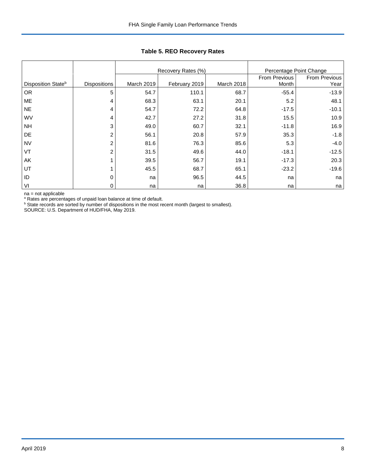|                    |                     |            | Recovery Rates (%) | Percentage Point Change |               |               |
|--------------------|---------------------|------------|--------------------|-------------------------|---------------|---------------|
|                    |                     |            |                    |                         | From Previous | From Previous |
| Disposition Stateb | <b>Dispositions</b> | March 2019 | February 2019      | March 2018              | Month         | Year          |
| OR.                | 5                   | 54.7       | 110.1              | 68.7                    | $-55.4$       | $-13.9$       |
| ME                 | 4                   | 68.3       | 63.1               | 20.1                    | 5.2           | 48.1          |
| <b>NE</b>          | 4                   | 54.7       | 72.2               | 64.8                    | $-17.5$       | $-10.1$       |
| WV                 | 4                   | 42.7       | 27.2               | 31.8                    | 15.5          | 10.9          |
| <b>NH</b>          | 3                   | 49.0       | 60.7               | 32.1                    | $-11.8$       | 16.9          |
| DE                 | $\overline{2}$      | 56.1       | 20.8               | 57.9                    | 35.3          | $-1.8$        |
| <b>NV</b>          | 2                   | 81.6       | 76.3               | 85.6                    | 5.3           | $-4.0$        |
| VT                 | $\overline{2}$      | 31.5       | 49.6               | 44.0                    | $-18.1$       | $-12.5$       |
| AK                 |                     | 39.5       | 56.7               | 19.1                    | $-17.3$       | 20.3          |
| UT                 |                     | 45.5       | 68.7               | 65.1                    | $-23.2$       | $-19.6$       |
| ID                 | 0                   | na         | 96.5               | 44.5                    | na            | na            |
| VI                 | 0                   | na         | na                 | 36.8                    | na            | na            |

## **Table 5. REO Recovery Rates**

na = not applicable

<sup>a</sup> Rates are percentages of unpaid loan balance at time of default.<br><sup>b</sup> State records are sorted by number of dispositions in the most recent month (largest to smallest).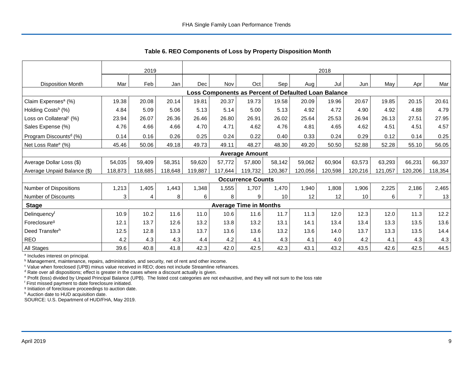|                                     | 2019    |         |         |         | 2018                                                 |                               |         |         |                 |         |         |                |         |
|-------------------------------------|---------|---------|---------|---------|------------------------------------------------------|-------------------------------|---------|---------|-----------------|---------|---------|----------------|---------|
| <b>Disposition Month</b>            | Mar     | Feb     | Jan     | Dec     | Nov                                                  | Oct                           | Sep     | Aug     | Jul             | Jun     | May     | Apr            | Mar     |
|                                     |         |         |         |         | Loss Components as Percent of Defaulted Loan Balance |                               |         |         |                 |         |         |                |         |
| Claim Expenses <sup>a</sup> (%)     | 19.38   | 20.08   | 20.14   | 19.81   | 20.37                                                | 19.73                         | 19.58   | 20.09   | 19.96           | 20.67   | 19.85   | 20.15          | 20.61   |
| Holding Costs <sup>b</sup> (%)      | 4.84    | 5.09    | 5.06    | 5.13    | 5.14                                                 | 5.00                          | 5.13    | 4.92    | 4.72            | 4.90    | 4.92    | 4.88           | 4.79    |
| Loss on Collateral <sup>c</sup> (%) | 23.94   | 26.07   | 26.36   | 26.46   | 26.80                                                | 26.91                         | 26.02   | 25.64   | 25.53           | 26.94   | 26.13   | 27.51          | 27.95   |
| Sales Expense (%)                   | 4.76    | 4.66    | 4.66    | 4.70    | 4.71                                                 | 4.62                          | 4.76    | 4.81    | 4.65            | 4.62    | 4.51    | 4.51           | 4.57    |
| Program Discounts <sup>d</sup> (%)  | 0.14    | 0.16    | 0.26    | 0.25    | 0.24                                                 | 0.22                          | 0.40    | 0.33    | 0.24            | 0.29    | 0.12    | 0.14           | 0.25    |
| Net Loss Rate <sup>e</sup> (%)      | 45.46   | 50.06   | 49.18   | 49.73   | 49.11                                                | 48.27                         | 48.30   | 49.20   | 50.50           | 52.88   | 52.28   | 55.10          | 56.05   |
|                                     |         |         |         |         |                                                      | <b>Average Amount</b>         |         |         |                 |         |         |                |         |
| Average Dollar Loss (\$)            | 54,035  | 59,409  | 58,351  | 59,620  | 57,772                                               | 57,800                        | 58,142  | 59,062  | 60,904          | 63,573  | 63,293  | 66,231         | 66,337  |
| Average Unpaid Balance (\$)         | 118,873 | 118,685 | 118,648 | 119,887 | 117,644                                              | 119,732                       | 120,367 | 120,056 | 120,598         | 120,216 | 121,057 | 120,206        | 118,354 |
|                                     |         |         |         |         |                                                      | <b>Occurrence Counts</b>      |         |         |                 |         |         |                |         |
| Number of Dispositions              | 1,213   | 1,405   | 1,443   | 1,348   | 1,555                                                | 1,707                         | 1,470   | 1,940   | 1,808           | 1,906   | 2,225   | 2,186          | 2,465   |
| Number of Discounts                 | 3       | 4       | 8       | 6       | 8                                                    | 9                             | 10      | 12      | 12 <sub>2</sub> | 10      | 6       | $\overline{7}$ | 13      |
| <b>Stage</b>                        |         |         |         |         |                                                      | <b>Average Time in Months</b> |         |         |                 |         |         |                |         |
| Delinquencyf                        | 10.9    | 10.2    | 11.6    | 11.0    | 10.6                                                 | 11.6                          | 11.7    | 11.3    | 12.0            | 12.3    | 12.0    | 11.3           | 12.2    |
| Foreclosure <sup>g</sup>            | 12.1    | 13.7    | 12.6    | 13.2    | 13.8                                                 | 13.2                          | 13.1    | 14.1    | 13.4            | 13.4    | 13.3    | 13.5           | 13.6    |
| Deed Transferh                      | 12.5    | 12.8    | 13.3    | 13.7    | 13.6                                                 | 13.6                          | 13.2    | 13.6    | 14.0            | 13.7    | 13.3    | 13.5           | 14.4    |
| <b>REO</b>                          | 4.2     | 4.3     | 4.3     | 4.4     | 4.2                                                  | 4.1                           | 4.3     | 4.1     | 4.0             | 4.2     | 4.1     | 4.3            | 4.3     |
| All Stages                          | 39.6    | 40.8    | 41.8    | 42.3    | 42.0                                                 | 42.5                          | 42.3    | 43.1    | 43.2            | 43.5    | 42.6    | 42.5           | 44.5    |

 **Table 6. REO Components of Loss by Property Disposition Month**

<sup>a</sup> Includes interest on principal.

<sup>b</sup> Management, maintenance, repairs, administration, and security, net of rent and other income.

c Value when foreclosed (UPB) minus value received in REO; does not include Streamline refinances.

<sup>d</sup> Rate over all dispositions; effect is greater in the cases where a discount actually is given.

e Profit (loss) divided by Unpaid Principal Balance (UPB). The listed cost categories are not exhaustive, and they will not sum to the loss rate

f First missed payment to date foreclosure initiated.

<sup>g</sup> Initiation of foreclosure proceedings to auction date.

h Auction date to HUD acquisition date.